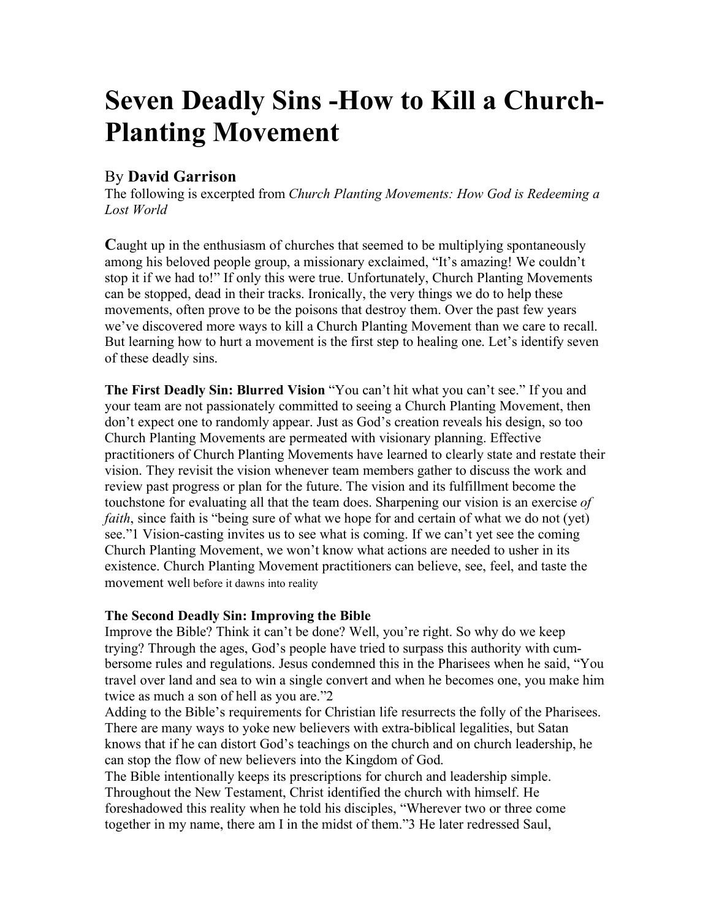# **Seven Deadly Sins -How to Kill a Church-Planting Movement**

# By **David Garrison**

The following is excerpted from *Church Planting Movements: How God is Redeeming a Lost World*

**C**aught up in the enthusiasm of churches that seemed to be multiplying spontaneously among his beloved people group, a missionary exclaimed, "It's amazing! We couldn't stop it if we had to!" If only this were true. Unfortunately, Church Planting Movements can be stopped, dead in their tracks. Ironically, the very things we do to help these movements, often prove to be the poisons that destroy them. Over the past few years we've discovered more ways to kill a Church Planting Movement than we care to recall. But learning how to hurt a movement is the first step to healing one. Let's identify seven of these deadly sins.

**The First Deadly Sin: Blurred Vision** "You can't hit what you can't see." If you and your team are not passionately committed to seeing a Church Planting Movement, then don't expect one to randomly appear. Just as God's creation reveals his design, so too Church Planting Movements are permeated with visionary planning. Effective practitioners of Church Planting Movements have learned to clearly state and restate their vision. They revisit the vision whenever team members gather to discuss the work and review past progress or plan for the future. The vision and its fulfillment become the touchstone for evaluating all that the team does. Sharpening our vision is an exercise *of faith*, since faith is "being sure of what we hope for and certain of what we do not (yet) see."1 Vision-casting invites us to see what is coming. If we can't yet see the coming Church Planting Movement, we won't know what actions are needed to usher in its existence. Church Planting Movement practitioners can believe, see, feel, and taste the movement well before it dawns into reality

# **The Second Deadly Sin: Improving the Bible**

Improve the Bible? Think it can't be done? Well, you're right. So why do we keep trying? Through the ages, God's people have tried to surpass this authority with cumbersome rules and regulations. Jesus condemned this in the Pharisees when he said, "You travel over land and sea to win a single convert and when he becomes one, you make him twice as much a son of hell as you are."2

Adding to the Bible's requirements for Christian life resurrects the folly of the Pharisees. There are many ways to yoke new believers with extra-biblical legalities, but Satan knows that if he can distort God's teachings on the church and on church leadership, he can stop the flow of new believers into the Kingdom of God.

The Bible intentionally keeps its prescriptions for church and leadership simple. Throughout the New Testament, Christ identified the church with himself. He foreshadowed this reality when he told his disciples, "Wherever two or three come together in my name, there am I in the midst of them."3 He later redressed Saul,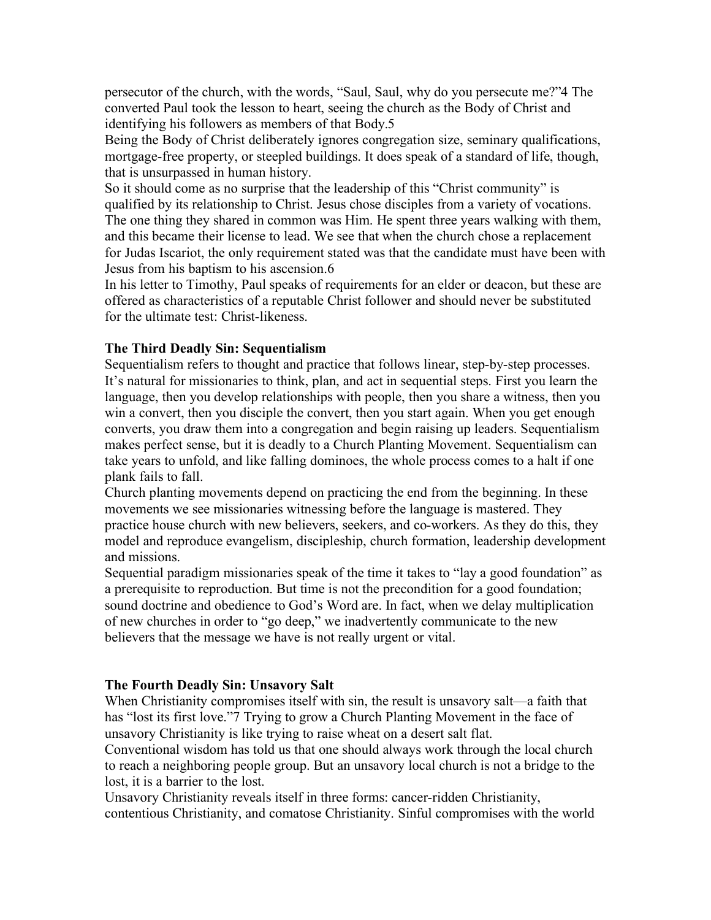persecutor of the church, with the words, "Saul, Saul, why do you persecute me?"4 The converted Paul took the lesson to heart, seeing the church as the Body of Christ and identifying his followers as members of that Body.5

Being the Body of Christ deliberately ignores congregation size, seminary qualifications, mortgage-free property, or steepled buildings. It does speak of a standard of life, though, that is unsurpassed in human history.

So it should come as no surprise that the leadership of this "Christ community" is qualified by its relationship to Christ. Jesus chose disciples from a variety of vocations. The one thing they shared in common was Him. He spent three years walking with them, and this became their license to lead. We see that when the church chose a replacement for Judas Iscariot, the only requirement stated was that the candidate must have been with Jesus from his baptism to his ascension.6

In his letter to Timothy, Paul speaks of requirements for an elder or deacon, but these are offered as characteristics of a reputable Christ follower and should never be substituted for the ultimate test: Christ-likeness.

# **The Third Deadly Sin: Sequentialism**

Sequentialism refers to thought and practice that follows linear, step-by-step processes. It's natural for missionaries to think, plan, and act in sequential steps. First you learn the language, then you develop relationships with people, then you share a witness, then you win a convert, then you disciple the convert, then you start again. When you get enough converts, you draw them into a congregation and begin raising up leaders. Sequentialism makes perfect sense, but it is deadly to a Church Planting Movement. Sequentialism can take years to unfold, and like falling dominoes, the whole process comes to a halt if one plank fails to fall.

Church planting movements depend on practicing the end from the beginning. In these movements we see missionaries witnessing before the language is mastered. They practice house church with new believers, seekers, and co-workers. As they do this, they model and reproduce evangelism, discipleship, church formation, leadership development and missions.

Sequential paradigm missionaries speak of the time it takes to "lay a good foundation" as a prerequisite to reproduction. But time is not the precondition for a good foundation; sound doctrine and obedience to God's Word are. In fact, when we delay multiplication of new churches in order to "go deep," we inadvertently communicate to the new believers that the message we have is not really urgent or vital.

#### **The Fourth Deadly Sin: Unsavory Salt**

When Christianity compromises itself with sin, the result is unsavory salt—a faith that has "lost its first love."7 Trying to grow a Church Planting Movement in the face of unsavory Christianity is like trying to raise wheat on a desert salt flat.

Conventional wisdom has told us that one should always work through the local church to reach a neighboring people group. But an unsavory local church is not a bridge to the lost, it is a barrier to the lost.

Unsavory Christianity reveals itself in three forms: cancer-ridden Christianity, contentious Christianity, and comatose Christianity. Sinful compromises with the world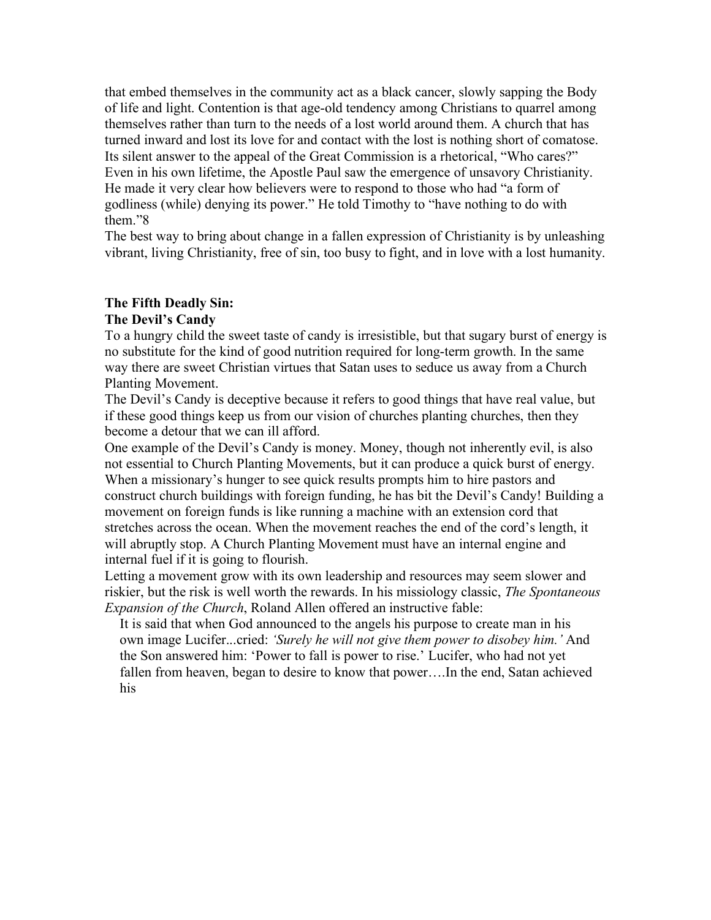that embed themselves in the community act as a black cancer, slowly sapping the Body of life and light. Contention is that age-old tendency among Christians to quarrel among themselves rather than turn to the needs of a lost world around them. A church that has turned inward and lost its love for and contact with the lost is nothing short of comatose. Its silent answer to the appeal of the Great Commission is a rhetorical, "Who cares?" Even in his own lifetime, the Apostle Paul saw the emergence of unsavory Christianity. He made it very clear how believers were to respond to those who had "a form of godliness (while) denying its power." He told Timothy to "have nothing to do with them."8

The best way to bring about change in a fallen expression of Christianity is by unleashing vibrant, living Christianity, free of sin, too busy to fight, and in love with a lost humanity.

# **The Fifth Deadly Sin:**

# **The Devil's Candy**

To a hungry child the sweet taste of candy is irresistible, but that sugary burst of energy is no substitute for the kind of good nutrition required for long-term growth. In the same way there are sweet Christian virtues that Satan uses to seduce us away from a Church Planting Movement.

The Devil's Candy is deceptive because it refers to good things that have real value, but if these good things keep us from our vision of churches planting churches, then they become a detour that we can ill afford.

One example of the Devil's Candy is money. Money, though not inherently evil, is also not essential to Church Planting Movements, but it can produce a quick burst of energy. When a missionary's hunger to see quick results prompts him to hire pastors and construct church buildings with foreign funding, he has bit the Devil's Candy! Building a movement on foreign funds is like running a machine with an extension cord that stretches across the ocean. When the movement reaches the end of the cord's length, it will abruptly stop. A Church Planting Movement must have an internal engine and internal fuel if it is going to flourish.

Letting a movement grow with its own leadership and resources may seem slower and riskier, but the risk is well worth the rewards. In his missiology classic, *The Spontaneous Expansion of the Church*, Roland Allen offered an instructive fable:

It is said that when God announced to the angels his purpose to create man in his own image Lucifer...cried: *'Surely he will not give them power to disobey him.'* And the Son answered him: 'Power to fall is power to rise.' Lucifer, who had not yet fallen from heaven, began to desire to know that power….In the end, Satan achieved his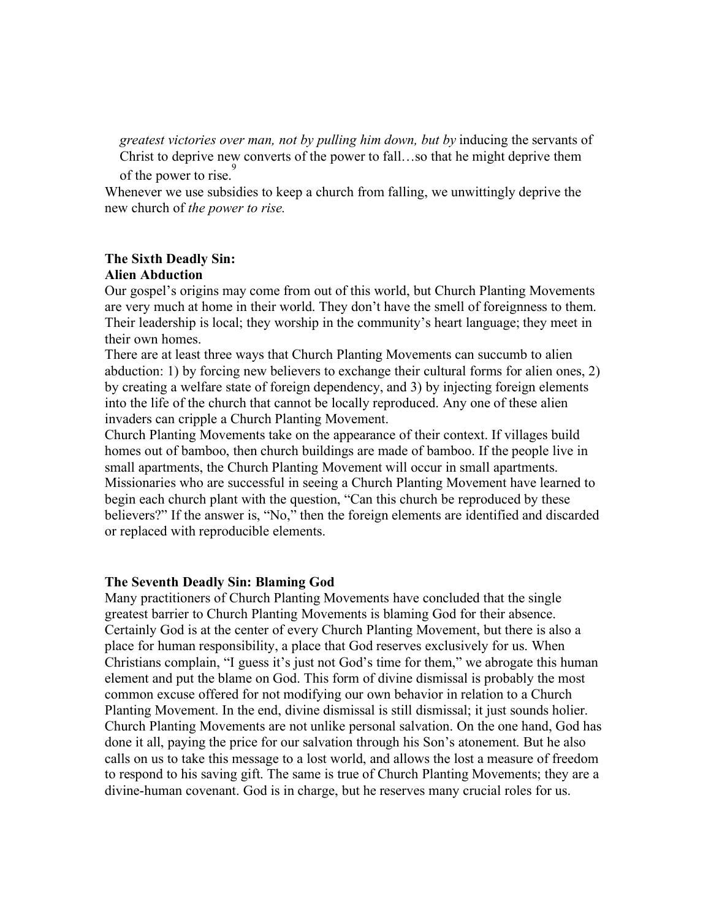*greatest victories over man, not by pulling him down, but by* inducing the servants of Christ to deprive new converts of the power to fall…so that he might deprive them of the power to rise.<sup>9</sup>

Whenever we use subsidies to keep a church from falling, we unwittingly deprive the new church of *the power to rise.* 

#### **The Sixth Deadly Sin:**

#### **Alien Abduction**

Our gospel's origins may come from out of this world, but Church Planting Movements are very much at home in their world. They don't have the smell of foreignness to them. Their leadership is local; they worship in the community's heart language; they meet in their own homes.

There are at least three ways that Church Planting Movements can succumb to alien abduction: 1) by forcing new believers to exchange their cultural forms for alien ones, 2) by creating a welfare state of foreign dependency, and 3) by injecting foreign elements into the life of the church that cannot be locally reproduced. Any one of these alien invaders can cripple a Church Planting Movement.

Church Planting Movements take on the appearance of their context. If villages build homes out of bamboo, then church buildings are made of bamboo. If the people live in small apartments, the Church Planting Movement will occur in small apartments. Missionaries who are successful in seeing a Church Planting Movement have learned to begin each church plant with the question, "Can this church be reproduced by these believers?" If the answer is, "No," then the foreign elements are identified and discarded or replaced with reproducible elements.

#### **The Seventh Deadly Sin: Blaming God**

Many practitioners of Church Planting Movements have concluded that the single greatest barrier to Church Planting Movements is blaming God for their absence. Certainly God is at the center of every Church Planting Movement, but there is also a place for human responsibility, a place that God reserves exclusively for us. When Christians complain, "I guess it's just not God's time for them," we abrogate this human element and put the blame on God. This form of divine dismissal is probably the most common excuse offered for not modifying our own behavior in relation to a Church Planting Movement. In the end, divine dismissal is still dismissal; it just sounds holier. Church Planting Movements are not unlike personal salvation. On the one hand, God has done it all, paying the price for our salvation through his Son's atonement. But he also calls on us to take this message to a lost world, and allows the lost a measure of freedom to respond to his saving gift. The same is true of Church Planting Movements; they are a divine-human covenant. God is in charge, but he reserves many crucial roles for us.